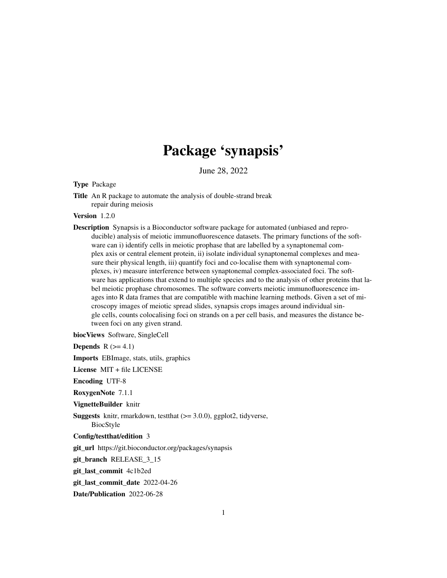# Package 'synapsis'

June 28, 2022

#### Type Package

Title An R package to automate the analysis of double-strand break repair during meiosis

#### Version 1.2.0

Description Synapsis is a Bioconductor software package for automated (unbiased and reproducible) analysis of meiotic immunofluorescence datasets. The primary functions of the software can i) identify cells in meiotic prophase that are labelled by a synaptonemal complex axis or central element protein, ii) isolate individual synaptonemal complexes and measure their physical length, iii) quantify foci and co-localise them with synaptonemal complexes, iv) measure interference between synaptonemal complex-associated foci. The software has applications that extend to multiple species and to the analysis of other proteins that label meiotic prophase chromosomes. The software converts meiotic immunofluorescence images into R data frames that are compatible with machine learning methods. Given a set of microscopy images of meiotic spread slides, synapsis crops images around individual single cells, counts colocalising foci on strands on a per cell basis, and measures the distance between foci on any given strand.

biocViews Software, SingleCell

**Depends**  $R$  ( $>= 4.1$ )

Imports EBImage, stats, utils, graphics

License MIT + file LICENSE

Encoding UTF-8

RoxygenNote 7.1.1

VignetteBuilder knitr

Suggests knitr, rmarkdown, testthat  $(>= 3.0.0)$ , ggplot2, tidyverse,

BiocStyle

Config/testthat/edition 3

git\_url https://git.bioconductor.org/packages/synapsis

git\_branch RELEASE\_3\_15

git\_last\_commit 4c1b2ed

git last commit date 2022-04-26

Date/Publication 2022-06-28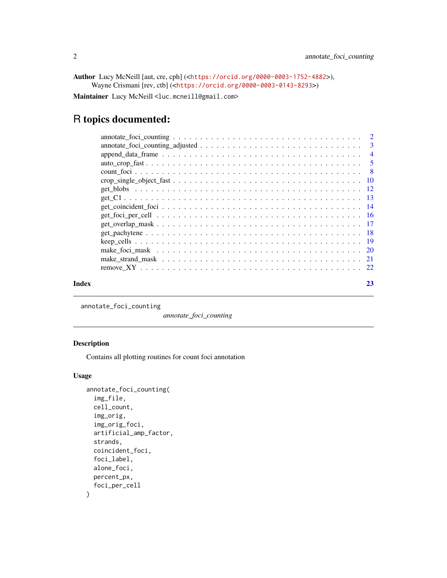```
Author Lucy McNeill [aut, cre, cph] (<https://orcid.org/0000-0003-1752-4882>),
     Wayne Crismani [rev, ctb] (<https://orcid.org/0000-0003-0143-8293>)
```
Maintainer Lucy McNeill <luc.mcneill@gmail.com>

# R topics documented:

| Index | 23 |
|-------|----|
|       |    |
|       |    |
|       |    |
|       |    |
|       |    |
|       |    |
|       |    |
|       |    |
|       |    |
|       |    |
|       |    |
|       |    |
|       |    |
|       |    |
|       |    |
|       |    |

annotate\_foci\_counting

*annotate\_foci\_counting*

#### Description

Contains all plotting routines for count foci annotation

```
annotate_foci_counting(
  img_file,
  cell_count,
  img_orig,
  img_orig_foci,
  artificial_amp_factor,
  strands,
  coincident_foci,
  foci_label,
  alone_foci,
 percent_px,
  foci_per_cell
\mathcal{E}
```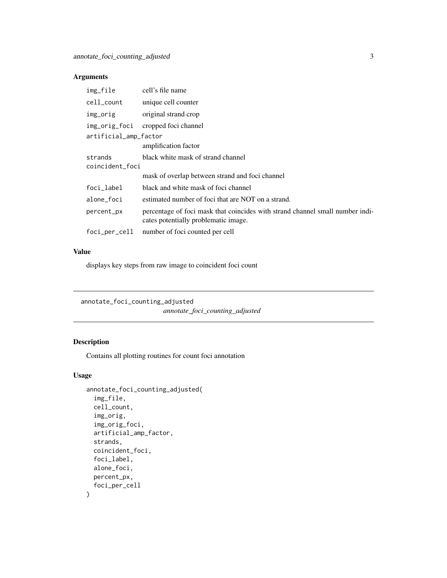<span id="page-2-0"></span>

| img_file                   | cell's file name                                                                                                      |
|----------------------------|-----------------------------------------------------------------------------------------------------------------------|
| cell_count                 | unique cell counter                                                                                                   |
| img_orig                   | original strand crop                                                                                                  |
| img_orig_foci              | cropped foci channel                                                                                                  |
| artificial_amp_factor      | amplification factor                                                                                                  |
| strands<br>coincident_foci | black white mask of strand channel                                                                                    |
|                            | mask of overlap between strand and foci channel                                                                       |
| foci_label                 | black and white mask of foci channel                                                                                  |
| alone_foci                 | estimated number of foci that are NOT on a strand.                                                                    |
| percent_px                 | percentage of foci mask that coincides with strand channel small number indi-<br>cates potentially problematic image. |
| foci_per_cell              | number of foci counted per cell                                                                                       |

# Value

displays key steps from raw image to coincident foci count

annotate\_foci\_counting\_adjusted

*annotate\_foci\_counting\_adjusted*

# Description

Contains all plotting routines for count foci annotation

```
annotate_foci_counting_adjusted(
 img_file,
 cell_count,
  img_orig,
  img_orig_foci,
  artificial_amp_factor,
  strands,
  coincident_foci,
  foci_label,
 alone_foci,
 percent_px,
  foci_per_cell
\mathcal{E}
```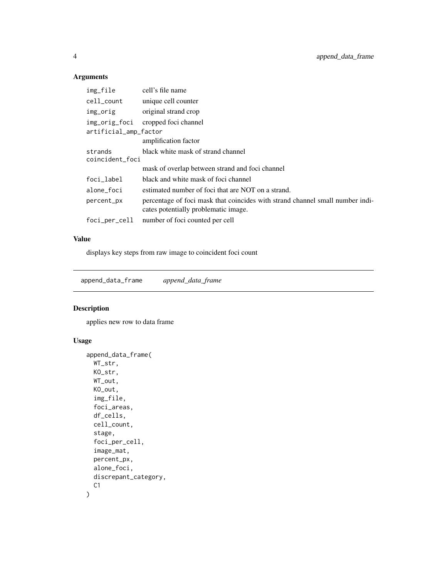| img_file              | cell's file name                                                                                                      |
|-----------------------|-----------------------------------------------------------------------------------------------------------------------|
| cell_count            | unique cell counter                                                                                                   |
| img_orig              | original strand crop                                                                                                  |
| img_orig_foci         | cropped foci channel                                                                                                  |
| artificial_amp_factor |                                                                                                                       |
|                       | amplification factor                                                                                                  |
| strands               | black white mask of strand channel                                                                                    |
| coincident_foci       |                                                                                                                       |
|                       | mask of overlap between strand and foci channel                                                                       |
| foci_label            | black and white mask of foci channel                                                                                  |
| alone_foci            | estimated number of foci that are NOT on a strand.                                                                    |
| percent_px            | percentage of foci mask that coincides with strand channel small number indi-<br>cates potentially problematic image. |
| foci_per_cell         | number of foci counted per cell                                                                                       |

# Value

displays key steps from raw image to coincident foci count

append\_data\_frame *append\_data\_frame*

#### Description

applies new row to data frame

```
append_data_frame(
 WT_str,
 KO_str,
 WT_out,
 KO_out,
  img_file,
  foci_areas,
  df_cells,
 cell_count,
  stage,
  foci_per_cell,
  image_mat,
 percent_px,
  alone_foci,
 discrepant_category,
 C1
\mathcal{E}
```
<span id="page-3-0"></span>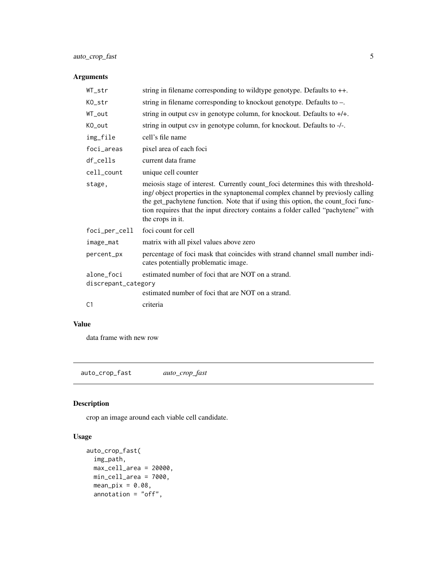# <span id="page-4-0"></span>auto\_crop\_fast 5

#### Arguments

| $WT\_str$           | string in filename corresponding to wildtype genotype. Defaults to $++$ .                                                                                                                                                                                                                                                                                     |
|---------------------|---------------------------------------------------------------------------------------------------------------------------------------------------------------------------------------------------------------------------------------------------------------------------------------------------------------------------------------------------------------|
| KO_str              | string in filename corresponding to knockout genotype. Defaults to -.                                                                                                                                                                                                                                                                                         |
| WT_out              | string in output csv in genotype column, for knockout. Defaults to $+/+$ .                                                                                                                                                                                                                                                                                    |
| KO_out              | string in output csv in genotype column, for knockout. Defaults to -/-.                                                                                                                                                                                                                                                                                       |
| img_file            | cell's file name                                                                                                                                                                                                                                                                                                                                              |
| foci_areas          | pixel area of each foci                                                                                                                                                                                                                                                                                                                                       |
| df_cells            | current data frame                                                                                                                                                                                                                                                                                                                                            |
| cell_count          | unique cell counter                                                                                                                                                                                                                                                                                                                                           |
| stage,              | meiosis stage of interest. Currently count foci determines this with threshold-<br>ing/object properties in the synaptonemal complex channel by previosly calling<br>the get_pachytene function. Note that if using this option, the count_foci func-<br>tion requires that the input directory contains a folder called "pachytene" with<br>the crops in it. |
| foci_per_cell       | foci count for cell                                                                                                                                                                                                                                                                                                                                           |
| image_mat           | matrix with all pixel values above zero                                                                                                                                                                                                                                                                                                                       |
| percent_px          | percentage of foci mask that coincides with strand channel small number indi-<br>cates potentially problematic image.                                                                                                                                                                                                                                         |
| alone foci          | estimated number of foci that are NOT on a strand.                                                                                                                                                                                                                                                                                                            |
| discrepant_category |                                                                                                                                                                                                                                                                                                                                                               |
|                     | estimated number of foci that are NOT on a strand.                                                                                                                                                                                                                                                                                                            |
| C <sub>1</sub>      | criteria                                                                                                                                                                                                                                                                                                                                                      |

#### Value

data frame with new row

auto\_crop\_fast *auto\_crop\_fast*

# Description

crop an image around each viable cell candidate.

```
auto_crop_fast(
 img_path,
 max_{cell}area = 20000,
 min_cell_area = 7000,
 mean\_pix = 0.08,
 annotation = "off",
```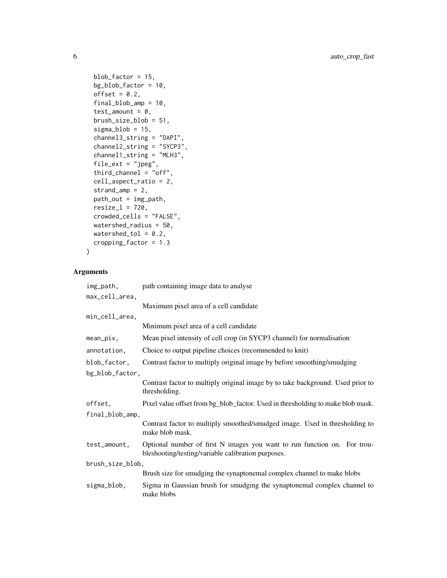```
blob_factor = 15,
 bg_blob_factor = 10,
 offset = 0.2,final_blob_amp = 10,
  test\_amount = 0,brush_size_blob = 51,
 sigma_blob = 15,
 channel3_string = "DAPI",
 channel2_string = "SYCP3",
 channel1_string = "MLH3",
 file_ext = "jpeg",
  third_channel = "off",
 cell_aspect_ratio = 2,
 strand_amp = 2,
 path_out = img_path,
 resize_1 = 720,crowded_cells = "FALSE",
 watershed_radius = 50,
 watershed_tol = 0.2,
 cropping_factor = 1.3
)
```

| img_path,        | path containing image data to analyse                                                                                          |
|------------------|--------------------------------------------------------------------------------------------------------------------------------|
| max_cell_area,   |                                                                                                                                |
|                  | Maximum pixel area of a cell candidate                                                                                         |
| min_cell_area,   |                                                                                                                                |
|                  | Minimum pixel area of a cell candidate                                                                                         |
| $mean\_pix$ ,    | Mean pixel intensity of cell crop (in SYCP3 channel) for normalisation                                                         |
| annotation,      | Choice to output pipeline choices (recommended to knit)                                                                        |
| blob_factor,     | Contrast factor to multiply original image by before smoothing/smudging                                                        |
| bg_blob_factor,  |                                                                                                                                |
|                  | Contrast factor to multiply original image by to take background. Used prior to<br>thresholding.                               |
| offset,          | Pixel value offset from bg_blob_factor. Used in thresholding to make blob mask.                                                |
| final_blob_amp,  |                                                                                                                                |
|                  | Contrast factor to multiply smoothed/smudged image. Used in thresholding to<br>make blob mask.                                 |
| test_amount,     | Optional number of first N images you want to run function on. For trou-<br>bleshooting/testing/variable calibration purposes. |
| brush_size_blob, |                                                                                                                                |
|                  | Brush size for smudging the synaptonemal complex channel to make blobs                                                         |
| sigma_blob,      | Sigma in Gaussian brush for smudging the synaptonemal complex channel to<br>make blobs                                         |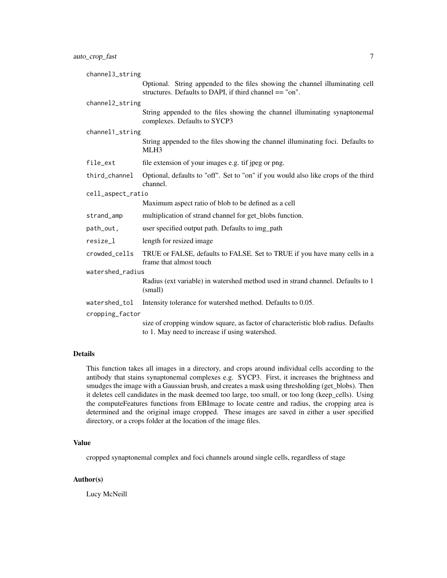| channel3_string   |                                                                                                                                         |
|-------------------|-----------------------------------------------------------------------------------------------------------------------------------------|
|                   | Optional. String appended to the files showing the channel illuminating cell<br>structures. Defaults to DAPI, if third channel == "on". |
| channel2_string   |                                                                                                                                         |
|                   | String appended to the files showing the channel illuminating synaptonemal<br>complexes. Defaults to SYCP3                              |
| channel1_string   |                                                                                                                                         |
|                   | String appended to the files showing the channel illuminating foci. Defaults to<br>MLH3                                                 |
| file_ext          | file extension of your images e.g. tif jpeg or png.                                                                                     |
| third_channel     | Optional, defaults to "off". Set to "on" if you would also like crops of the third<br>channel.                                          |
| cell_aspect_ratio |                                                                                                                                         |
|                   | Maximum aspect ratio of blob to be defined as a cell                                                                                    |
| strand_amp        | multiplication of strand channel for get_blobs function.                                                                                |
| path_out,         | user specified output path. Defaults to img_path                                                                                        |
| resize_l          | length for resized image                                                                                                                |
| crowded_cells     | TRUE or FALSE, defaults to FALSE. Set to TRUE if you have many cells in a<br>frame that almost touch                                    |
| watershed_radius  |                                                                                                                                         |
|                   | Radius (ext variable) in watershed method used in strand channel. Defaults to 1<br>(small)                                              |
| watershed_tol     | Intensity tolerance for watershed method. Defaults to 0.05.                                                                             |
| cropping_factor   |                                                                                                                                         |
|                   | size of cropping window square, as factor of characteristic blob radius. Defaults<br>to 1. May need to increase if using watershed.     |

#### Details

This function takes all images in a directory, and crops around individual cells according to the antibody that stains synaptonemal complexes e.g. SYCP3. First, it increases the brightness and smudges the image with a Gaussian brush, and creates a mask using thresholding (get\_blobs). Then it deletes cell candidates in the mask deemed too large, too small, or too long (keep\_cells). Using the computeFeatures functions from EBImage to locate centre and radius, the cropping area is determined and the original image cropped. These images are saved in either a user specified directory, or a crops folder at the location of the image files.

#### Value

cropped synaptonemal complex and foci channels around single cells, regardless of stage

#### Author(s)

Lucy McNeill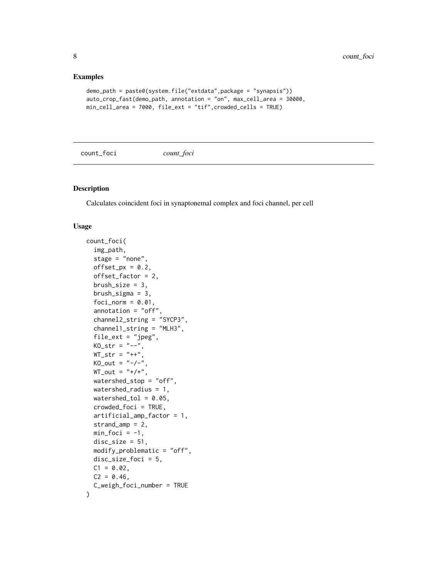#### <span id="page-7-0"></span>Examples

```
demo_path = paste0(system.file("extdata",package = "synapsis"))
auto_crop_fast(demo_path, annotation = "on", max_cell_area = 30000,
min_cell_area = 7000, file_ext = "tif",crowded_cells = TRUE)
```
count\_foci *count\_foci*

#### Description

Calculates coincident foci in synaptonemal complex and foci channel, per cell

```
count_foci(
  img_path,
  stage = "none",
  offset_px = 0.2,
  offset_factor = 2,
  brush_size = 3,brush_sigma = 3,
  foci\_norm = 0.01,
  annotation = "off",
  channel2_string = "SYCP3",
  channel1_string = "MLH3",
  file\_ext = "jpeg",KO_{str} = "--",WT\_str = "++",KO_out = "--/--",WT_out = "+/+'",watershed_stop = "off",
  watershed_radius = 1,
  watershed_tol = 0.05,
  crowded_foci = TRUE,
  artificial_amp_factor = 1,
  strand_amp = 2,
  min_foci = -1,
  disc\_size = 51,modify_problematic = "off",
  disc_size_foci = 5,
  C1 = 0.02,
  C2 = 0.46,
  C_weigh_foci_number = TRUE
)
```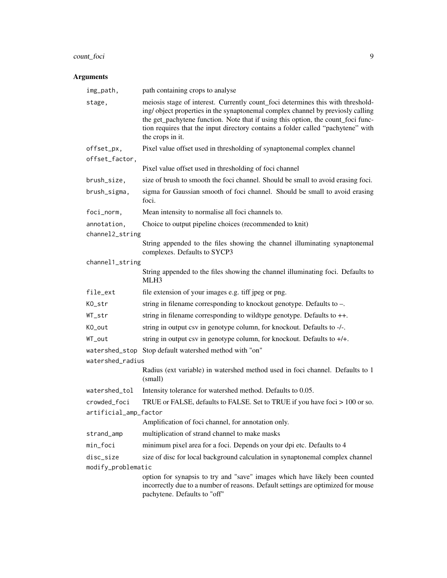# count\_foci 9

| img_path,             | path containing crops to analyse                                                                                                                                                                                                                                                                                                                              |
|-----------------------|---------------------------------------------------------------------------------------------------------------------------------------------------------------------------------------------------------------------------------------------------------------------------------------------------------------------------------------------------------------|
| stage,                | meiosis stage of interest. Currently count_foci determines this with threshold-<br>ing/object properties in the synaptonemal complex channel by previosly calling<br>the get_pachytene function. Note that if using this option, the count_foci func-<br>tion requires that the input directory contains a folder called "pachytene" with<br>the crops in it. |
| offset_px,            | Pixel value offset used in thresholding of synaptonemal complex channel                                                                                                                                                                                                                                                                                       |
| offset_factor,        |                                                                                                                                                                                                                                                                                                                                                               |
|                       | Pixel value offset used in thresholding of foci channel                                                                                                                                                                                                                                                                                                       |
| brush_size,           | size of brush to smooth the foci channel. Should be small to avoid erasing foci.                                                                                                                                                                                                                                                                              |
| brush_sigma,          | sigma for Gaussian smooth of foci channel. Should be small to avoid erasing<br>foci.                                                                                                                                                                                                                                                                          |
| foci_norm,            | Mean intensity to normalise all foci channels to.                                                                                                                                                                                                                                                                                                             |
| annotation,           | Choice to output pipeline choices (recommended to knit)                                                                                                                                                                                                                                                                                                       |
| channel2_string       |                                                                                                                                                                                                                                                                                                                                                               |
|                       | String appended to the files showing the channel illuminating synaptonemal<br>complexes. Defaults to SYCP3                                                                                                                                                                                                                                                    |
| channel1_string       |                                                                                                                                                                                                                                                                                                                                                               |
|                       | String appended to the files showing the channel illuminating foci. Defaults to<br>MLH3                                                                                                                                                                                                                                                                       |
| file_ext              | file extension of your images e.g. tiff jpeg or png.                                                                                                                                                                                                                                                                                                          |
| KO_str                | string in filename corresponding to knockout genotype. Defaults to -.                                                                                                                                                                                                                                                                                         |
| WT_str                | string in filename corresponding to wildtype genotype. Defaults to ++.                                                                                                                                                                                                                                                                                        |
| KO_out                | string in output csv in genotype column, for knockout. Defaults to -/-.                                                                                                                                                                                                                                                                                       |
| WT_out                | string in output csv in genotype column, for knockout. Defaults to $+/+$ .                                                                                                                                                                                                                                                                                    |
|                       | watershed_stop Stop default watershed method with "on"                                                                                                                                                                                                                                                                                                        |
| watershed_radius      |                                                                                                                                                                                                                                                                                                                                                               |
|                       | Radius (ext variable) in watershed method used in foci channel. Defaults to 1<br>(small)                                                                                                                                                                                                                                                                      |
| watershed_tol         | Intensity tolerance for watershed method. Defaults to 0.05.                                                                                                                                                                                                                                                                                                   |
| crowded_foci          | TRUE or FALSE, defaults to FALSE. Set to TRUE if you have foci > 100 or so.                                                                                                                                                                                                                                                                                   |
| artificial_amp_factor |                                                                                                                                                                                                                                                                                                                                                               |
|                       | Amplification of foci channel, for annotation only.                                                                                                                                                                                                                                                                                                           |
| strand_amp            | multiplication of strand channel to make masks                                                                                                                                                                                                                                                                                                                |
| min_foci              | minimum pixel area for a foci. Depends on your dpi etc. Defaults to 4                                                                                                                                                                                                                                                                                         |
| disc_size             | size of disc for local background calculation in synaptonemal complex channel                                                                                                                                                                                                                                                                                 |
| modify_problematic    |                                                                                                                                                                                                                                                                                                                                                               |
|                       | option for synapsis to try and "save" images which have likely been counted<br>incorrectly due to a number of reasons. Default settings are optimized for mouse<br>pachytene. Defaults to "off"                                                                                                                                                               |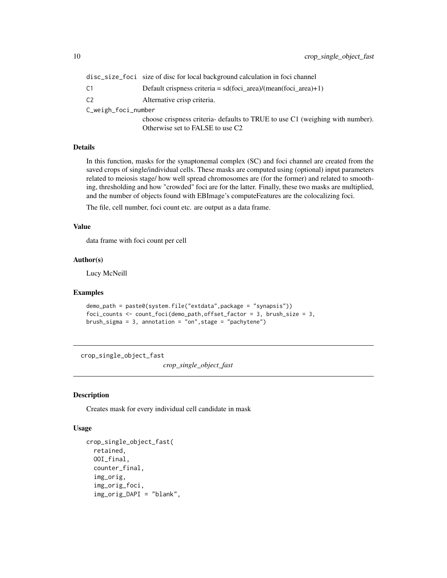<span id="page-9-0"></span>

|                     | disc_size_foci size of disc for local background calculation in foci channel  |
|---------------------|-------------------------------------------------------------------------------|
| C <sub>1</sub>      | Default crispness criteria = $sd(foci_{area})/(mean(foci_{area})+1)$          |
| C <sub>2</sub>      | Alternative crisp criteria.                                                   |
| C_weigh_foci_number |                                                                               |
|                     | choose crispness criteria- defaults to TRUE to use C1 (weighing with number). |
|                     | Otherwise set to FALSE to use C2                                              |

#### Details

In this function, masks for the synaptonemal complex (SC) and foci channel are created from the saved crops of single/individual cells. These masks are computed using (optional) input parameters related to meiosis stage/ how well spread chromosomes are (for the former) and related to smoothing, thresholding and how "crowded" foci are for the latter. Finally, these two masks are multiplied, and the number of objects found with EBImage's computeFeatures are the colocalizing foci.

The file, cell number, foci count etc. are output as a data frame.

#### Value

data frame with foci count per cell

#### Author(s)

Lucy McNeill

#### Examples

```
demo_path = paste0(system.file("extdata",package = "synapsis"))
foci_counts <- count_foci(demo_path,offset_factor = 3, brush_size = 3,
brush_sigma = 3, annotation = "on", stage = "pachytene")
```
crop\_single\_object\_fast

*crop\_single\_object\_fast*

#### Description

Creates mask for every individual cell candidate in mask

```
crop_single_object_fast(
  retained,
  OOI_final,
  counter_final,
  img_orig,
  img_orig_foci,
  img_orig_DAPI = "blank",
```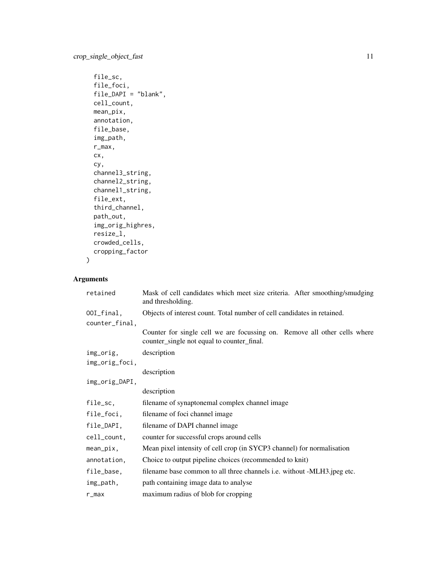```
file_sc,
file_foci,
file\_DAPI = "blank",cell_count,
mean_pix,
annotation,
file_base,
img_path,
r_max,
cx,
cy,
channel3_string,
channel2_string,
channel1_string,
file_ext,
third_channel,
path_out,
img_orig_highres,
resize_l,
crowded_cells,
cropping_factor
```
)

| retained       | Mask of cell candidates which meet size criteria. After smoothing/smudging<br>and thresholding.                         |
|----------------|-------------------------------------------------------------------------------------------------------------------------|
| 00I_final,     | Objects of interest count. Total number of cell candidates in retained.                                                 |
| counter_final, |                                                                                                                         |
|                | Counter for single cell we are focussing on. Remove all other cells where<br>counter_single not equal to counter_final. |
| img_orig,      | description                                                                                                             |
| img_orig_foci, |                                                                                                                         |
|                | description                                                                                                             |
| img_orig_DAPI, |                                                                                                                         |
|                | description                                                                                                             |
| file_sc,       | filename of synaptonemal complex channel image                                                                          |
| file_foci,     | filename of foci channel image                                                                                          |
| file_DAPI,     | filename of DAPI channel image                                                                                          |
| cell_count,    | counter for successful crops around cells                                                                               |
| $mean\_pix,$   | Mean pixel intensity of cell crop (in SYCP3 channel) for normalisation                                                  |
| annotation,    | Choice to output pipeline choices (recommended to knit)                                                                 |
| file_base,     | filename base common to all three channels <i>i.e.</i> without -MLH3.jpeg etc.                                          |
| img_path,      | path containing image data to analyse                                                                                   |
| $r_{max}$      | maximum radius of blob for cropping                                                                                     |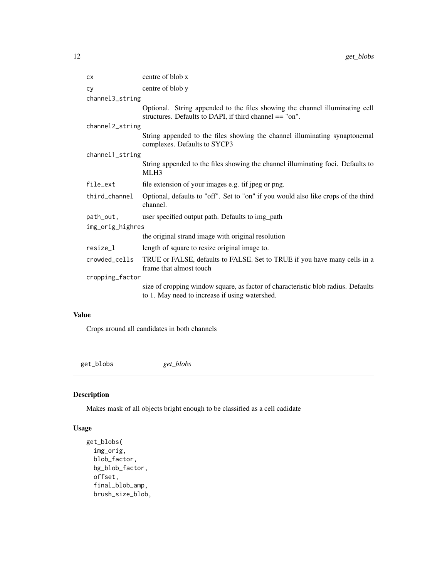<span id="page-11-0"></span>

| <b>CX</b>        | centre of blob x                                                                                                                        |
|------------------|-----------------------------------------------------------------------------------------------------------------------------------------|
| <b>CY</b>        | centre of blob y                                                                                                                        |
| channel3_string  |                                                                                                                                         |
|                  | Optional. String appended to the files showing the channel illuminating cell<br>structures. Defaults to DAPI, if third channel == "on". |
| channel2_string  |                                                                                                                                         |
|                  | String appended to the files showing the channel illuminating synaptonemal<br>complexes. Defaults to SYCP3                              |
| channel1_string  |                                                                                                                                         |
|                  | String appended to the files showing the channel illuminating foci. Defaults to<br>MLH3                                                 |
| file_ext         | file extension of your images e.g. tif jpeg or png.                                                                                     |
| third_channel    | Optional, defaults to "off". Set to "on" if you would also like crops of the third<br>channel.                                          |
| path_out,        | user specified output path. Defaults to img_path                                                                                        |
| img_orig_highres |                                                                                                                                         |
|                  | the original strand image with original resolution                                                                                      |
| resize_l         | length of square to resize original image to.                                                                                           |
| crowded_cells    | TRUE or FALSE, defaults to FALSE. Set to TRUE if you have many cells in a<br>frame that almost touch                                    |
| cropping_factor  |                                                                                                                                         |
|                  | size of cropping window square, as factor of characteristic blob radius. Defaults<br>to 1. May need to increase if using watershed.     |

Crops around all candidates in both channels

get\_blobs *get\_blobs*

# Description

Makes mask of all objects bright enough to be classified as a cell cadidate

```
get_blobs(
  img_orig,
 blob_factor,
 bg_blob_factor,
 offset,
 final_blob_amp,
 brush_size_blob,
```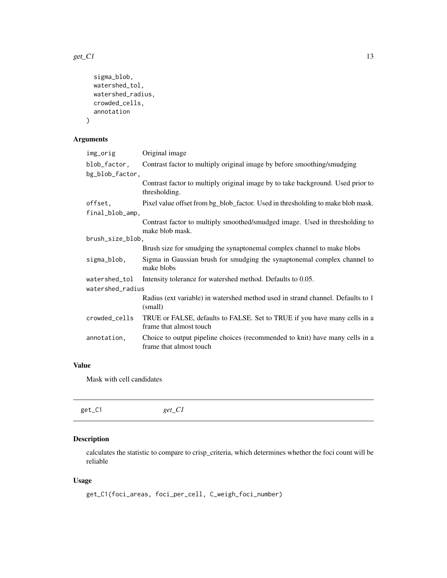<span id="page-12-0"></span> $get\_C1$  13

```
sigma_blob,
 watershed_tol,
 watershed_radius,
 crowded_cells,
  annotation
)
```
# Arguments

| Original image                                                                                          |
|---------------------------------------------------------------------------------------------------------|
| Contrast factor to multiply original image by before smoothing/smudging                                 |
|                                                                                                         |
| Contrast factor to multiply original image by to take background. Used prior to<br>thresholding.        |
| Pixel value offset from bg_blob_factor. Used in thresholding to make blob mask.                         |
|                                                                                                         |
| Contrast factor to multiply smoothed/smudged image. Used in thresholding to<br>make blob mask.          |
| brush_size_blob,                                                                                        |
| Brush size for smudging the synaptonemal complex channel to make blobs                                  |
| Sigma in Gaussian brush for smudging the synaptonemal complex channel to<br>make blobs                  |
| Intensity tolerance for watershed method. Defaults to 0.05.                                             |
| watershed_radius                                                                                        |
| Radius (ext variable) in watershed method used in strand channel. Defaults to 1<br>(small)              |
| TRUE or FALSE, defaults to FALSE. Set to TRUE if you have many cells in a<br>frame that almost touch    |
| Choice to output pipeline choices (recommended to knit) have many cells in a<br>frame that almost touch |
|                                                                                                         |

# Value

Mask with cell candidates

|--|

# Description

calculates the statistic to compare to crisp\_criteria, which determines whether the foci count will be reliable

```
get_C1(foci_areas, foci_per_cell, C_weigh_foci_number)
```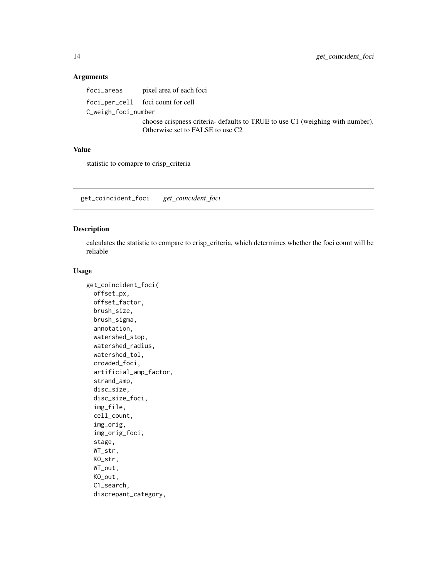<span id="page-13-0"></span>foci\_areas pixel area of each foci foci\_per\_cell foci count for cell C\_weigh\_foci\_number choose crispness criteria- defaults to TRUE to use C1 (weighing with number). Otherwise set to FALSE to use C2

#### Value

statistic to comapre to crisp\_criteria

get\_coincident\_foci *get\_coincident\_foci*

#### Description

calculates the statistic to compare to crisp\_criteria, which determines whether the foci count will be reliable

```
get_coincident_foci(
 offset_px,
  offset_factor,
  brush_size,
  brush_sigma,
  annotation,
  watershed_stop,
  watershed_radius,
  watershed_tol,
  crowded_foci,
  artificial_amp_factor,
  strand_amp,
  disc_size,
  disc_size_foci,
  img_file,
  cell_count,
  img_orig,
  img_orig_foci,
  stage,
  WT_str,
 KO_str,
 WT_out,
 KO_out,
  C1_search,
  discrepant_category,
```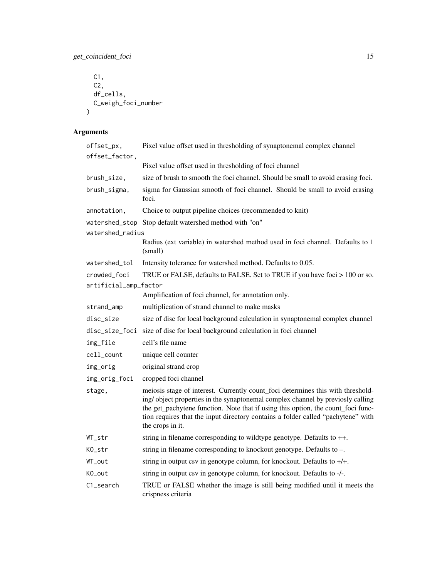get\_coincident\_foci 15

```
C1,
 C2,
 df_cells,
 C_weigh_foci_number
)
```

| offset_px,            | Pixel value offset used in thresholding of synaptonemal complex channel                                                                                                                                                                                                                                                                                       |
|-----------------------|---------------------------------------------------------------------------------------------------------------------------------------------------------------------------------------------------------------------------------------------------------------------------------------------------------------------------------------------------------------|
| offset_factor,        |                                                                                                                                                                                                                                                                                                                                                               |
|                       | Pixel value offset used in thresholding of foci channel                                                                                                                                                                                                                                                                                                       |
| brush_size,           | size of brush to smooth the foci channel. Should be small to avoid erasing foci.                                                                                                                                                                                                                                                                              |
| brush_sigma,          | sigma for Gaussian smooth of foci channel. Should be small to avoid erasing<br>foci.                                                                                                                                                                                                                                                                          |
| annotation,           | Choice to output pipeline choices (recommended to knit)                                                                                                                                                                                                                                                                                                       |
|                       | watershed_stop Stop default watershed method with "on"                                                                                                                                                                                                                                                                                                        |
| watershed_radius      |                                                                                                                                                                                                                                                                                                                                                               |
|                       | Radius (ext variable) in watershed method used in foci channel. Defaults to 1<br>(small)                                                                                                                                                                                                                                                                      |
| watershed_tol         | Intensity tolerance for watershed method. Defaults to 0.05.                                                                                                                                                                                                                                                                                                   |
| crowded_foci          | TRUE or FALSE, defaults to FALSE. Set to TRUE if you have foci > 100 or so.                                                                                                                                                                                                                                                                                   |
| artificial_amp_factor |                                                                                                                                                                                                                                                                                                                                                               |
|                       | Amplification of foci channel, for annotation only.                                                                                                                                                                                                                                                                                                           |
| strand_amp            | multiplication of strand channel to make masks                                                                                                                                                                                                                                                                                                                |
| disc_size             | size of disc for local background calculation in synaptonemal complex channel                                                                                                                                                                                                                                                                                 |
| disc_size_foci        | size of disc for local background calculation in foci channel                                                                                                                                                                                                                                                                                                 |
| img_file              | cell's file name                                                                                                                                                                                                                                                                                                                                              |
| cell_count            | unique cell counter                                                                                                                                                                                                                                                                                                                                           |
| img_orig              | original strand crop                                                                                                                                                                                                                                                                                                                                          |
| img_orig_foci         | cropped foci channel                                                                                                                                                                                                                                                                                                                                          |
| stage,                | meiosis stage of interest. Currently count_foci determines this with threshold-<br>ing/object properties in the synaptonemal complex channel by previosly calling<br>the get_pachytene function. Note that if using this option, the count_foci func-<br>tion requires that the input directory contains a folder called "pachytene" with<br>the crops in it. |
| WT_str                | string in filename corresponding to wildtype genotype. Defaults to $++$ .                                                                                                                                                                                                                                                                                     |
| KO_str                | string in filename corresponding to knockout genotype. Defaults to -.                                                                                                                                                                                                                                                                                         |
| WT_out                | string in output csv in genotype column, for knockout. Defaults to $+/+$ .                                                                                                                                                                                                                                                                                    |
| KO_out                | string in output csv in genotype column, for knockout. Defaults to -/-.                                                                                                                                                                                                                                                                                       |
| C1_search             | TRUE or FALSE whether the image is still being modified until it meets the<br>crispness criteria                                                                                                                                                                                                                                                              |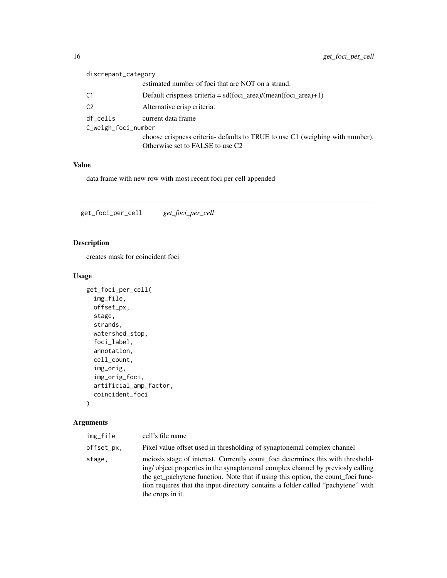<span id="page-15-0"></span>

|                     | discrepant_category |                                                                               |
|---------------------|---------------------|-------------------------------------------------------------------------------|
|                     |                     | estimated number of foci that are NOT on a strand.                            |
|                     | C1                  | Default crispness criteria = $sd(foci\_area)/(mean(foci\_area) + 1)$          |
|                     | C <sub>2</sub>      | Alternative crisp criteria.                                                   |
|                     | df cells            | current data frame                                                            |
| C_weigh_foci_number |                     |                                                                               |
|                     |                     | choose crispness criteria- defaults to TRUE to use C1 (weighing with number). |
|                     |                     | Otherwise set to FALSE to use C2                                              |
|                     |                     |                                                                               |

data frame with new row with most recent foci per cell appended

get\_foci\_per\_cell *get\_foci\_per\_cell*

#### Description

creates mask for coincident foci

#### Usage

```
get_foci_per_cell(
  img_file,
  offset_px,
  stage,
  strands,
  watershed_stop,
  foci_label,
  annotation,
  cell_count,
  img_orig,
  img_orig_foci,
  artificial_amp_factor,
  coincident_foci
\mathcal{L}
```

| img_file   | cell's file name                                                                                                                                                                                                                                                                                                                                              |
|------------|---------------------------------------------------------------------------------------------------------------------------------------------------------------------------------------------------------------------------------------------------------------------------------------------------------------------------------------------------------------|
| offset_px, | Pixel value offset used in thresholding of synaptonemal complex channel                                                                                                                                                                                                                                                                                       |
| stage,     | meiosis stage of interest. Currently count foci determines this with threshold-<br>ing/object properties in the synaptonemal complex channel by previosly calling<br>the get_pachytene function. Note that if using this option, the count_foci func-<br>tion requires that the input directory contains a folder called "pachytene" with<br>the crops in it. |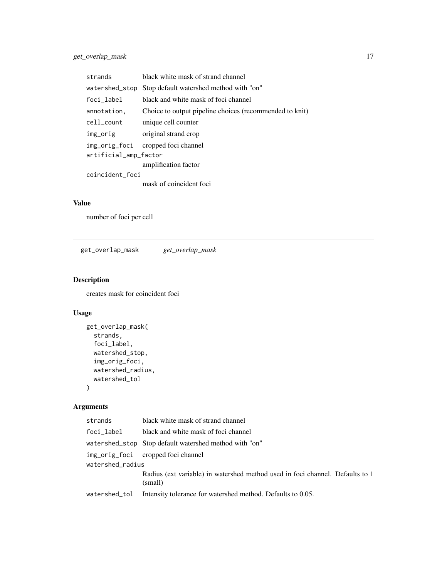<span id="page-16-0"></span>

| strands               | black white mask of strand channel                      |  |
|-----------------------|---------------------------------------------------------|--|
| watershed_stop        | Stop default watershed method with "on"                 |  |
| foci_label            | black and white mask of foci channel                    |  |
| annotation.           | Choice to output pipeline choices (recommended to knit) |  |
| cell_count            | unique cell counter                                     |  |
| img_orig              | original strand crop                                    |  |
|                       | img_orig_foci cropped focichannel                       |  |
| artificial_amp_factor |                                                         |  |
|                       | amplification factor                                    |  |
| coincident_foci       |                                                         |  |
|                       | mask of coincident foci                                 |  |

number of foci per cell

get\_overlap\_mask *get\_overlap\_mask*

#### Description

creates mask for coincident foci

# Usage

```
get_overlap_mask(
  strands,
  foci_label,
  watershed_stop,
  img_orig_foci,
  watershed_radius,
  watershed_tol
\mathcal{L}
```

| strands          | black white mask of strand channel                                                       |  |
|------------------|------------------------------------------------------------------------------------------|--|
| foci label       | black and white mask of foci channel                                                     |  |
|                  | watershed_stop Stop default watershed method with "on"                                   |  |
|                  | img_orig_foci cropped focichannel                                                        |  |
| watershed_radius |                                                                                          |  |
|                  | Radius (ext variable) in watershed method used in foci channel. Defaults to 1<br>(small) |  |
| watershed_tol    | Intensity tolerance for watershed method. Defaults to 0.05.                              |  |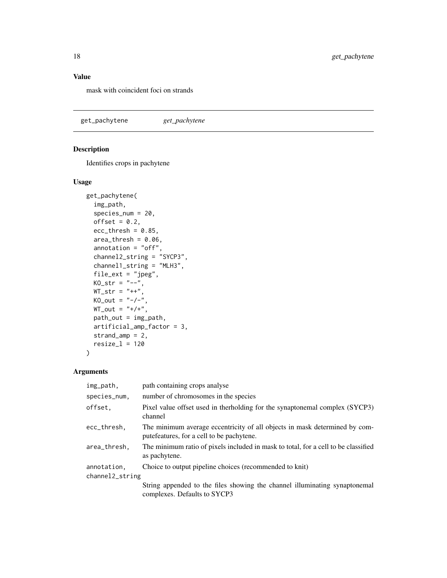<span id="page-17-0"></span>mask with coincident foci on strands

get\_pachytene *get\_pachytene*

## Description

Identifies crops in pachytene

#### Usage

```
get_pachytene(
  img_path,
  species_num = 20,
 offset = 0.2,
  ecc_{thresh} = 0.85,
  area_{th}resh = 0.06,
  annotation = "off",channel2_string = "SYCP3",
  channel1_string = "MLH3",
  file_ext = "jpeg",
 KO\_str = "--",WT\_str = "++",KO_out = "--/--",WT_out = "+/+',
 path_out = img_path,
 artificial_amp_factor = 3,
  strand_amp = 2,
 resize_1 = 120\mathcal{L}
```

| img_path,       | path containing crops analyse                                                                                            |
|-----------------|--------------------------------------------------------------------------------------------------------------------------|
| species_num.    | number of chromosomes in the species                                                                                     |
| offset.         | Pixel value offset used in the rholding for the synaptonemal complex (SYCP3)<br>channel                                  |
| ecc_thresh.     | The minimum average eccentricity of all objects in mask determined by com-<br>pute features, for a cell to be pachytene. |
| area_thresh,    | The minimum ratio of pixels included in mask to total, for a cell to be classified<br>as pachytene.                      |
| annotation.     | Choice to output pipeline choices (recommended to knit)                                                                  |
| channel2_string |                                                                                                                          |
|                 | String appended to the files showing the channel illuminating synaptonemal<br>complexes. Defaults to SYCP3               |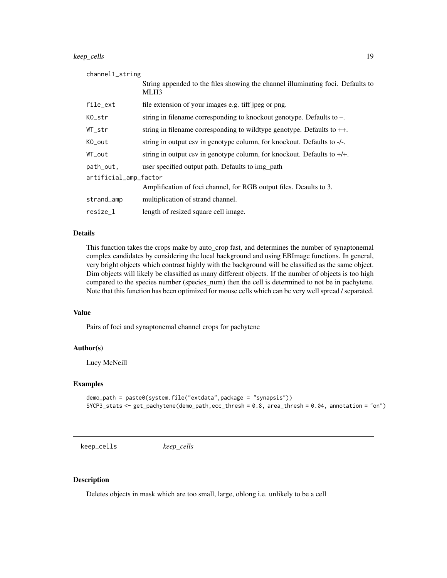#### <span id="page-18-0"></span>keep\_cells 19

| channel1_string       |                                                                                                     |  |
|-----------------------|-----------------------------------------------------------------------------------------------------|--|
|                       | String appended to the files showing the channel illuminating foci. Defaults to<br>MLH <sub>3</sub> |  |
| file_ext              | file extension of your images e.g. tiff jpeg or png.                                                |  |
| KO_str                | string in filename corresponding to knockout genotype. Defaults to $-$ .                            |  |
| WT_str                | string in filename corresponding to wildtype genotype. Defaults to $++$ .                           |  |
| KO_out                | string in output csv in genotype column, for knockout. Defaults to -/-.                             |  |
| WT_out                | string in output csv in genotype column, for knockout. Defaults to $+/-$ .                          |  |
| path_out,             | user specified output path. Defaults to img path                                                    |  |
| artificial_amp_factor |                                                                                                     |  |
|                       | Amplification of foci channel, for RGB output files. Deaults to 3.                                  |  |
| strand_amp            | multiplication of strand channel.                                                                   |  |
| resize_l              | length of resized square cell image.                                                                |  |

#### Details

This function takes the crops make by auto\_crop fast, and determines the number of synaptonemal complex candidates by considering the local background and using EBImage functions. In general, very bright objects which contrast highly with the background will be classified as the same object. Dim objects will likely be classified as many different objects. If the number of objects is too high compared to the species number (species\_num) then the cell is determined to not be in pachytene. Note that this function has been optimized for mouse cells which can be very well spread / separated.

#### Value

Pairs of foci and synaptonemal channel crops for pachytene

#### Author(s)

Lucy McNeill

#### Examples

```
demo_path = paste0(system.file("extdata",package = "synapsis"))
SYCP3_stats <- get_pachytene(demo_path,ecc_thresh = 0.8, area_thresh = 0.04, annotation = "on")
```
keep\_cells *keep\_cells*

#### Description

Deletes objects in mask which are too small, large, oblong i.e. unlikely to be a cell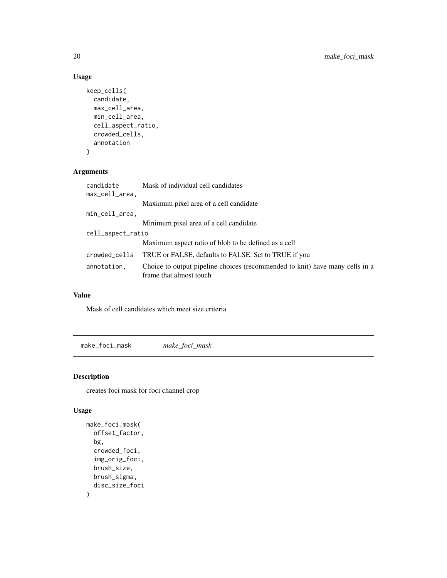# Usage

```
keep_cells(
 candidate,
 max_cell_area,
 min_cell_area,
 cell_aspect_ratio,
 crowded_cells,
  annotation
)
```
#### Arguments

| candidate         | Mask of individual cell candidates                                                                      |
|-------------------|---------------------------------------------------------------------------------------------------------|
| max_cell_area,    |                                                                                                         |
|                   | Maximum pixel area of a cell candidate                                                                  |
| min_cell_area,    |                                                                                                         |
|                   | Minimum pixel area of a cell candidate                                                                  |
| cell_aspect_ratio |                                                                                                         |
|                   | Maximum aspect ratio of blob to be defined as a cell                                                    |
| crowded_cells     | TRUE or FALSE, defaults to FALSE. Set to TRUE if you                                                    |
| annotation,       | Choice to output pipeline choices (recommended to knit) have many cells in a<br>frame that almost touch |

#### Value

Mask of cell candidates which meet size criteria

make\_foci\_mask *make\_foci\_mask*

#### Description

creates foci mask for foci channel crop

```
make_foci_mask(
  offset_factor,
  bg,
  crowded_foci,
  img_orig_foci,
  brush_size,
  brush_sigma,
  disc_size_foci
\mathcal{E}
```
<span id="page-19-0"></span>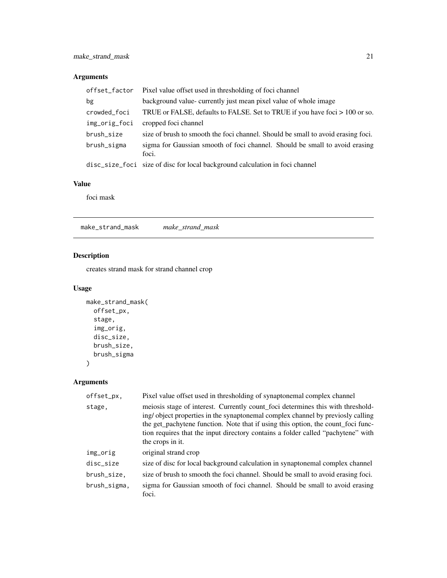<span id="page-20-0"></span>

| offset_factor | Pixel value offset used in thresholding of foci channel                              |  |
|---------------|--------------------------------------------------------------------------------------|--|
| bg            | background value- currently just mean pixel value of whole image                     |  |
| crowded_foci  | TRUE or FALSE, defaults to FALSE. Set to TRUE if you have foci > 100 or so.          |  |
| img_orig_foci | cropped foci channel                                                                 |  |
| brush_size    | size of brush to smooth the foci channel. Should be small to avoid erasing foci.     |  |
| brush_sigma   | sigma for Gaussian smooth of foci channel. Should be small to avoid erasing<br>foci. |  |
|               | disc_size_foci size of disc for local background calculation in foci channel         |  |

#### Value

foci mask

make\_strand\_mask *make\_strand\_mask*

# Description

creates strand mask for strand channel crop

#### Usage

```
make_strand_mask(
  offset_px,
  stage,
  img_orig,
  disc_size,
  brush_size,
  brush_sigma
)
```

| offset_px,   | Pixel value offset used in thresholding of synaptonemal complex channel                                                                                                                                                                                                                                                                                       |
|--------------|---------------------------------------------------------------------------------------------------------------------------------------------------------------------------------------------------------------------------------------------------------------------------------------------------------------------------------------------------------------|
| stage,       | meiosis stage of interest. Currently count_foci determines this with threshold-<br>ing/object properties in the synaptonemal complex channel by previosly calling<br>the get_pachytene function. Note that if using this option, the count_foci func-<br>tion requires that the input directory contains a folder called "pachytene" with<br>the crops in it. |
| img_orig     | original strand crop                                                                                                                                                                                                                                                                                                                                          |
| disc_size    | size of disc for local background calculation in synaptonemal complex channel                                                                                                                                                                                                                                                                                 |
| brush_size,  | size of brush to smooth the foci channel. Should be small to avoid erasing foci.                                                                                                                                                                                                                                                                              |
| brush_sigma, | sigma for Gaussian smooth of foci channel. Should be small to avoid erasing<br>foci.                                                                                                                                                                                                                                                                          |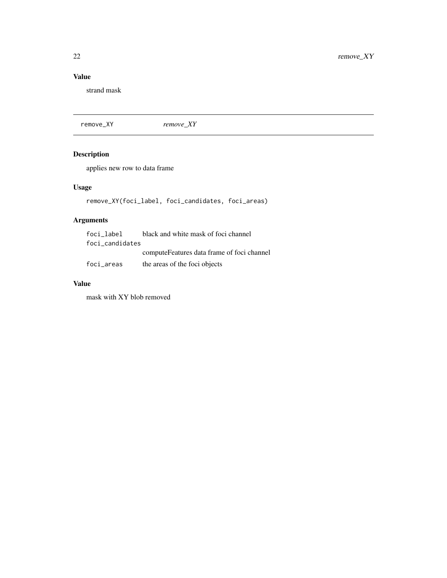<span id="page-21-0"></span>strand mask

remove\_XY *remove\_XY*

# Description

applies new row to data frame

# Usage

```
remove_XY(foci_label, foci_candidates, foci_areas)
```
# Arguments

| foci label      | black and white mask of foci channel        |
|-----------------|---------------------------------------------|
| foci_candidates |                                             |
|                 | compute Features data frame of foci channel |
| foci areas      | the areas of the foci objects               |

### Value

mask with XY blob removed